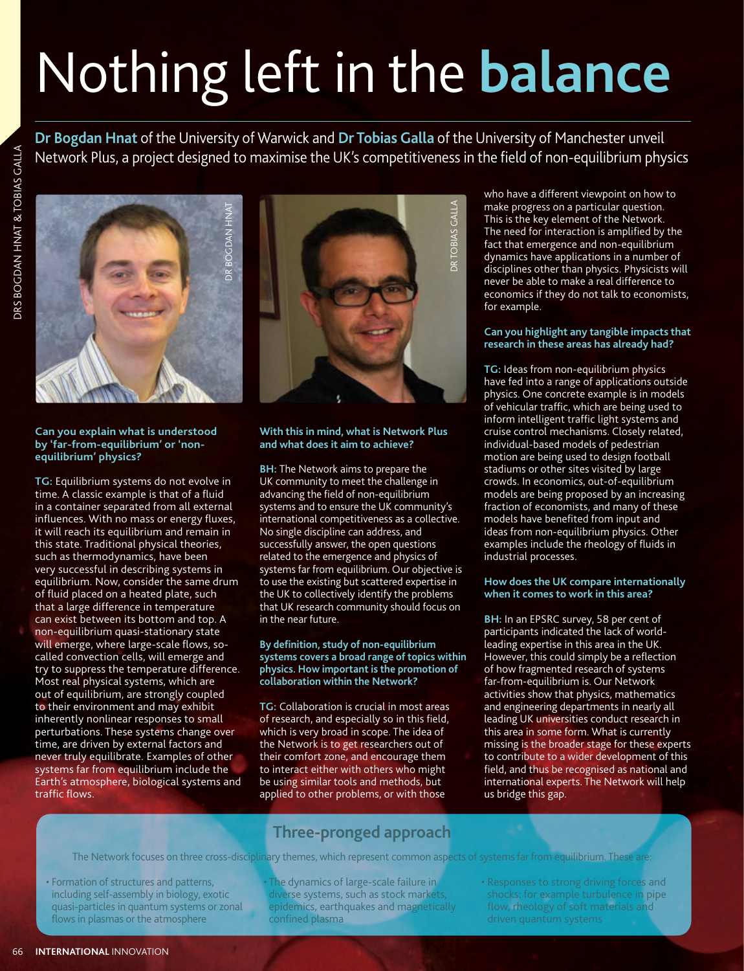# Nothing left in the **balance**

**Dr Bogdan Hnat** of the University of Warwick and **Dr Tobias Galla** of the University of Manchester unveil Network Plus, a project designed to maximise the UK's competitiveness in the field of non-equilibrium physics



**Can you explain what is understood by 'far-from-equilibrium' or 'nonequilibrium' physics?**

**TG:** Equilibrium systems do not evolve in time. A classic example is that of a fluid in a container separated from all external influences. With no mass or energy fluxes, it will reach its equilibrium and remain in this state. Traditional physical theories, such as thermodynamics, have been very successful in describing systems in equilibrium. Now, consider the same drum of fluid placed on a heated plate, such that a large difference in temperature can exist between its bottom and top. A non-equilibrium quasi-stationary state will emerge, where large-scale flows, socalled convection cells, will emerge and try to suppress the temperature difference. Most real physical systems, which are out of equilibrium, are strongly coupled to their environment and may exhibit inherently nonlinear responses to small perturbations. These systems change over time, are driven by external factors and never truly equilibrate. Examples of other systems far from equilibrium include the Earth's atmosphere, biological systems and traffic flows. The Network for the Network focuses of systems of systems of systems far from equilibrium. The network focus on the Network for the Network for the Network for the Network for the Network for the Network for the Network f



# **With this in mind, what is Network Plus and what does it aim to achieve?**

**BH:** The Network aims to prepare the UK community to meet the challenge in advancing the field of non-equilibrium systems and to ensure the UK community's international competitiveness as a collective. No single discipline can address, and successfully answer, the open questions related to the emergence and physics of systems far from equilibrium. Our objective is to use the existing but scattered expertise in the UK to collectively identify the problems that UK research community should focus on in the near future.

# **By definition, study of non-equilibrium systems covers a broad range of topics within physics. How important is the promotion of collaboration within the Network?**

**TG:** Collaboration is crucial in most areas of research, and especially so in this field, which is very broad in scope. The idea of the Network is to get researchers out of their comfort zone, and encourage them to interact either with others who might be using similar tools and methods, but applied to other problems, or with those

who have a different viewpoint on how to make progress on a particular question. This is the key element of the Network. The need for interaction is amplified by the fact that emergence and non-equilibrium dynamics have applications in a number of disciplines other than physics. Physicists will never be able to make a real difference to economics if they do not talk to economists, for example.

# **Can you highlight any tangible impacts that research in these areas has already had?**

**TG:** Ideas from non-equilibrium physics have fed into a range of applications outside physics. One concrete example is in models of vehicular traffic, which are being used to inform intelligent traffic light systems and cruise control mechanisms. Closely related, individual-based models of pedestrian motion are being used to design football stadiums or other sites visited by large crowds. In economics, out-of-equilibrium models are being proposed by an increasing fraction of economists, and many of these models have benefited from input and ideas from non-equilibrium physics. Other examples include the rheology of fluids in industrial processes.

# **How does the UK compare internationally when it comes to work in this area?**

**BH:** In an EPSRC survey, 58 per cent of participants indicated the lack of worldleading expertise in this area in the UK. However, this could simply be a reflection of how fragmented research of systems far-from-equilibrium is. Our Network activities show that physics, mathematics and engineering departments in nearly all leading UK universities conduct research in this area in some form. What is currently missing is the broader stage for these experts to contribute to a wider development of this field, and thus be recognised as national and international experts. The Network will help us bridge this gap.

# **Three-pronged approach**

- Formation of structures and patterns, including self-assembly in biology, exotic quasi-particles in quantum systems or zonal flows in plasmas or the atmosphere
- The dynamics of large-scale failure in diverse systems, such as stock markets, epidemics, earthquakes and magnetically confined plasma
- Responses to strong driving forces and shocks: for example turbulence in pipe flow, rheology of soft materials and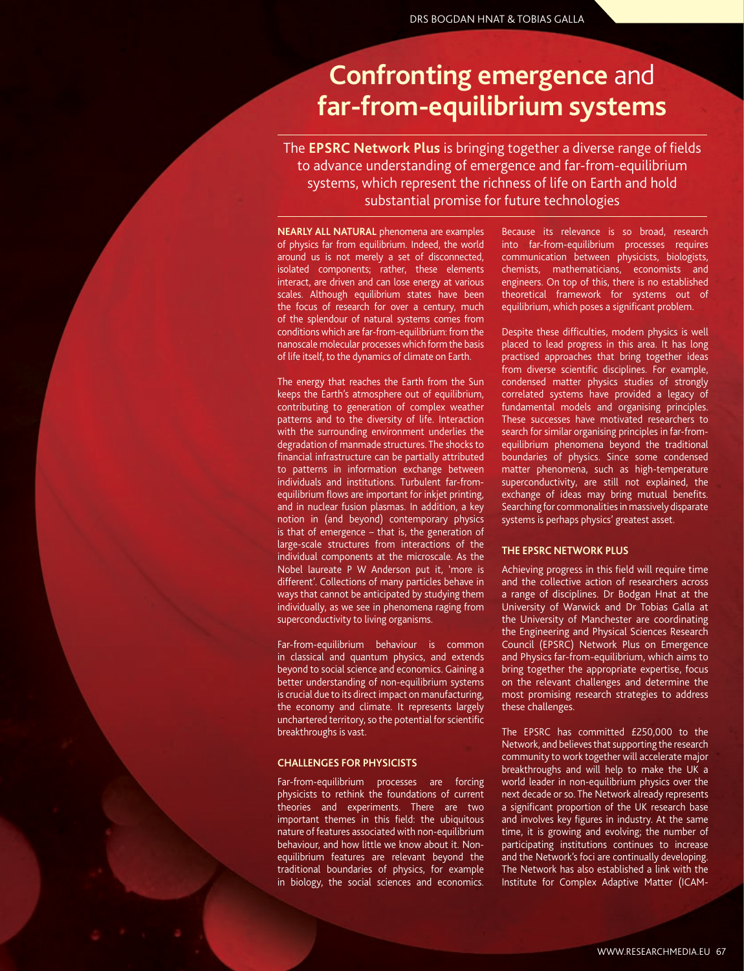# **Confronting emergence** and **far-from-equilibrium systems**

The **EPSRC Network Plus** is bringing together a diverse range of fields to advance understanding of emergence and far-from-equilibrium systems, which represent the richness of life on Earth and hold substantial promise for future technologies

**NEARLY ALL NATURAL** phenomena are examples of physics far from equilibrium. Indeed, the world around us is not merely a set of disconnected, isolated components; rather, these elements interact, are driven and can lose energy at various scales. Although equilibrium states have been the focus of research for over a century, much of the splendour of natural systems comes from conditions which are far-from-equilibrium: from the nanoscale molecular processes which form the basis of life itself, to the dynamics of climate on Earth.

The energy that reaches the Earth from the Sun keeps the Earth's atmosphere out of equilibrium, contributing to generation of complex weather patterns and to the diversity of life. Interaction with the surrounding environment underlies the degradation of manmade structures. The shocks to financial infrastructure can be partially attributed to patterns in information exchange between individuals and institutions. Turbulent far-fromequilibrium flows are important for inkjet printing, and in nuclear fusion plasmas. In addition, a key notion in (and beyond) contemporary physics is that of emergence – that is, the generation of large-scale structures from interactions of the individual components at the microscale. As the Nobel laureate P W Anderson put it, 'more is different'. Collections of many particles behave in ways that cannot be anticipated by studying them individually, as we see in phenomena raging from superconductivity to living organisms.

Far-from-equilibrium behaviour is common in classical and quantum physics, and extends beyond to social science and economics. Gaining a better understanding of non-equilibrium systems is crucial due to its direct impact on manufacturing, the economy and climate. It represents largely unchartered territory, so the potential for scientific breakthroughs is vast.

# **CHALLENGES FOR PHYSICISTS**

Far-from-equilibrium processes are forcing physicists to rethink the foundations of current theories and experiments. There are two important themes in this field: the ubiquitous nature of features associated with non-equilibrium behaviour, and how little we know about it. Nonequilibrium features are relevant beyond the traditional boundaries of physics, for example in biology, the social sciences and economics.

Because its relevance is so broad, research into far-from-equilibrium processes requires communication between physicists, biologists, chemists, mathematicians, economists and engineers. On top of this, there is no established theoretical framework for systems out of equilibrium, which poses a significant problem.

Despite these difficulties, modern physics is well placed to lead progress in this area. It has long practised approaches that bring together ideas from diverse scientific disciplines. For example, condensed matter physics studies of strongly correlated systems have provided a legacy of fundamental models and organising principles. These successes have motivated researchers to search for similar organising principles in far-fromequilibrium phenomena beyond the traditional boundaries of physics. Since some condensed matter phenomena, such as high-temperature superconductivity, are still not explained, the exchange of ideas may bring mutual benefits. Searching for commonalities in massively disparate systems is perhaps physics' greatest asset.

### **THE EPSRC NETWORK PLUS**

Achieving progress in this field will require time and the collective action of researchers across a range of disciplines. Dr Bodgan Hnat at the University of Warwick and Dr Tobias Galla at the University of Manchester are coordinating the Engineering and Physical Sciences Research Council (EPSRC) Network Plus on Emergence and Physics far-from-equilibrium, which aims to bring together the appropriate expertise, focus on the relevant challenges and determine the most promising research strategies to address these challenges.

The EPSRC has committed £250,000 to the Network, and believes that supporting the research community to work together will accelerate major breakthroughs and will help to make the UK a world leader in non-equilibrium physics over the next decade or so. The Network already represents a significant proportion of the UK research base and involves key figures in industry. At the same time, it is growing and evolving; the number of participating institutions continues to increase and the Network's foci are continually developing. The Network has also established a link with the Institute for Complex Adaptive Matter (ICAM-